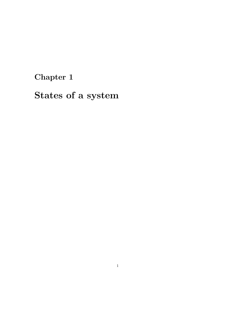# Chapter 1

States of a system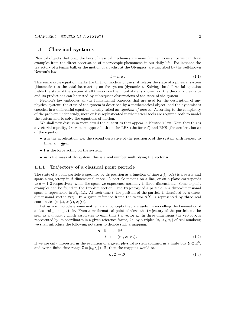## 1.1 Classical systems

Physical objects that obey the laws of classical mechanics are more familiar to us since we can draw examples from the direct observation of macroscopic phenomena in our daily life. For instance the trajectory of a tennis ball, or the motion of a cyclist at the Olympics, are described by the well-known Newton's law:

$$
\mathbf{f} = m\,\mathbf{a}.\tag{1.1}
$$

This remarkable equation marks the birth of modern physics: it relates the state of a physical system (kinematics) to the total force acting on the system (dynamics). Solving the differential equation yields the state of the system at all times once the initial state is known, i.e. the theory is predictive and its predictions can be tested by subsequent observations of the state of the system.

Newton's law embodies all the fundamental concepts that are used for the description of any physical system: the state of the system is described by a mathematical object, and the dynamics is encoded in a differential equation, usually called an *equation of motion*. According to the complexity of the problem under study, more or less sophisticated mathematical tools are required both to model the system and to solve the equations of motion.

We shall now discuss in more detail the quantities that appear in Newton's law. Note that this is a vectorial equality, *i.e.* vectors appear both on the LHS (the force  $f$ ) and RHS (the acceleration a) of the equation:

- $\bullet$  a is the acceleration, *i.e.* the second derivative of the position  $\mathbf x$  of the system with respect to time,  $\mathbf{a} = \frac{d^2}{dt^2} \mathbf{x}$ ;
- f is the force acting on the system;
- $m$  is the mass of the system, this is a real number multiplying the vector  $a$ .

### 1.1.1 Trajectory of a classical point particle

The state of a point particle is specified by its position as a function of time  $\mathbf{x}(t)$ .  $\mathbf{x}(t)$  is a vector and spans a trajectory in  $d$ -dimensional space. A particle moving on a line, or on a plane corresponds to  $d = 1, 2$  respectively, while the space we experience normally is three–dimensional. Some explicit examples can be found in the Problem section. The trajectory of a particle in a three-dimensional space is represented in Fig. 1.1. At each time  $t$ , the position of the particle is described by a threedimensional vector  $\mathbf{x}(t)$ . In a given reference frame the vector  $\mathbf{x}(t)$  is represented by three real coordinates  $(x_1(t), x_2(t), x_3(t))$ .

Let us now introduce some mathematical concepts that are useful in modelling the kinematics of a classical point particle. From a mathematical point of view, the trajectory of the particle can be seen as a mapping which associates to each time t a vector  $x$ . In three dimensions the vector  $x$  is represented by its coordinates in a given reference frame, *i.e.* by a triplet  $(x_1, x_2, x_3)$  of real numbers; we shall introduce the following notation to denote such a mapping:

$$
\mathbf{x}: \mathbb{R} \to \mathbb{R}^3
$$
  
\n
$$
t \mapsto (x_1, x_2, x_3).
$$
 (1.2)

If we are only interested in the evolution of a given physical system confined in a finite box  $\mathcal{B} \subset \mathbb{R}^3$ , and over a finite time range  $\mathcal{I} = [t_0, t_1] \subset \mathbb{R}$ , then the mapping would be:

$$
\mathbf{x} : \mathcal{I} \to \mathcal{B} \,. \tag{1.3}
$$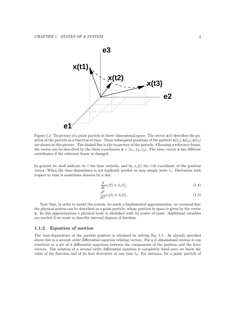

Figure 1.1: Trajectory of a point particle in three–dimensional space. The vector  $\mathbf{x}(t)$  describes the position of the particle as a function of time. Three subsequent positions of the particle  $\mathbf{x}(t_1), \mathbf{x}(t_2), \mathbf{x}(t_3)$ are shown in this picture. The dashed line is the trajectory of the particle. Choosing a reference frame, the vector can be described by the three coordinates  $\mathbf{x} = (x_1, x_2, x_3)$ . The same vector x has different coordinates if the reference frame is changed.

In general we shall indicate by t the time variable, and by  $x_i(t)$  the i-th coordinate of the position vector. When the time-dependence is not explicitly needed we may simply write  $x_i$ . Derivation with respect to time is sometimes denotes by a dot:

$$
\frac{d}{dt}x_i(t) \equiv \dot{x}_i(t),\tag{1.4}
$$

$$
\frac{d^2}{dt^2}x_i(t) \equiv \ddot{x}_i(t). \tag{1.5}
$$

Note that, in order to model the system, we made a fundamental approximation: we assumed that the physical system can be described as a point particle, whose position in space is given by the vector x. In this approximation a physical body is identified with its center of mass. Additional variables are needed if we want to describe internal degrees of freedom.

#### 1.1.2 Equation of motion

The time-dependence of the particle position is obtained by solving Eq. 1.1. As already specified above this is a second–order differential equation relating vectors. For a  $d$ –dimensional system it can rewritten as a set of d differential equations between the components of the position and the force vectors. The solution of a second–order differential equation is completely fixed once we know the value of the function and of its first derivative at one time  $t_0$ . For instance, for a point–particle of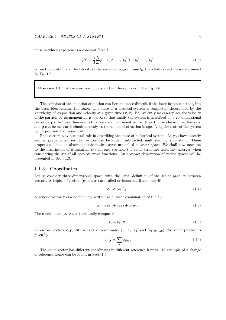#### CHAPTER 1. STATES OF A SYSTEM 4

mass  $m$  which experiences a constant force  $f$ :

$$
x_i(t) = \frac{1}{2} \frac{f_i}{m} (t - t_0)^2 + \dot{x}_i(t_0)(t - t_0) + x_i(t_0).
$$
 (1.6)

Given the position and the velocity of the system at a given time  $t_0$ , the whole trajectory is determined by Eq. 1.6.

Exercise 1.1.1 Make sure you understand *all* the symbols in the Eq. 1.6.

The solution of the equation of motion can become more difficult if the force in not constant, but the basic idea remains the same. The state of a classical system is completely determined by the knowledge of its position and velocity at a given time  $(x, \dot{x})$ . Equivalently we can replace the velocity of the particle by its momentum  $\mathbf{p} = m\dot{\mathbf{x}}$ , so that finally the system is described by a 2d–dimensional vector  $(x, p)$ . In three dimensions this is a six-dimensional vector. Note that in classical mechanics x and p can be measured simultaneously, so there is no obstruction in specifying the state of the system by its position and momentum.

Real vectors play a central role in describing the state of a classical system. As you have already seen in previous courses real vectors can be added, subtracted, multiplied by a constant. These properties define an abstract mathematical structure called a vector space. We shall now move on to the description of a quantum system and see how the same structure naturally emerges when considering the set of all possible wave functions. An abstract description of vector spaces will be presented in Sect. 1.3.

## 1.1.3 Coordinates

Let us consider three-dimensional space, with the usual definition of the scalar product between vectors. A triplet of vectors  $(e_1, e_2, e_3)$  are called orthonormal if and only if:

$$
\mathbf{e}_i \cdot \mathbf{e}_j = \delta_{ij} \,. \tag{1.7}
$$

A generic vector  $\mathbf x$  can be uniquely written as a linear combination of the  $\mathbf e_i$ :

$$
\mathbf{x} = x_1 \mathbf{e}_1 + x_2 \mathbf{e}_2 + x_3 \mathbf{e}_3. \tag{1.8}
$$

The coordinates  $(x_1, x_2, x_3)$  are easily computed:

$$
x_i = \mathbf{e}_i \cdot \mathbf{x} \,. \tag{1.9}
$$

Given two vectors **x**, **y**, with respective coordinates  $(x_1, x_2, x_3)$  and  $(y_1, y_2, y_3)$ , the scalar product is given by

$$
\mathbf{x} \cdot \mathbf{y} = \sum_{i} x_i y_i \,. \tag{1.10}
$$

The same vector has different coordinates in different reference frames. An example of a change of reference frame can be found in Sect. 1.5.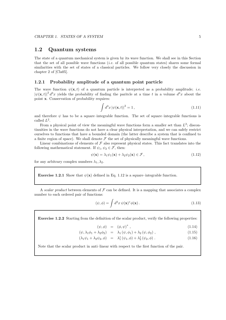# 1.2 Quantum systems

The state of a quantum mechanical system is given by its wave function. We shall see in this Section that the set of all possible wave functions (i.e. of all possible quantum states) shares some formal similarities with the set of states of a classical particles. We follow very closely the discussion in chapter 2 of [Cla05].

## 1.2.1 Probability amplitude of a quantum point particle

The wave function  $\psi(\mathbf{x},t)$  of a quantum particle is interpreted as a probability amplitude; *i.e.*  $|\psi(\mathbf{x},t)|^2 d^3x$  yields the probability of finding the paritcle at a time t in a volume  $d^3x$  about the point x. Conservation of probability requires:

$$
\int d^3x \left| \psi(\mathbf{x},t) \right|^2 = 1, \tag{1.11}
$$

and therefore  $\psi$  has to be a square–integrable function. The set of square–integrable functions is called  $L^2$ .

From a physical point of view the meaningful wave functions form a smaller set than  $L^2$ ; discontinuities in the wave functions do not have a clear physical interpretation, and we can safely restrict ourselves to functions that have a bounded domain (the latter describe a system that is confined to a finite region of space). We shall denote  $\mathcal F$  the set of physically meaningful wave functions.

Linear combinations of elements of  $\mathcal F$  also represent physical states. This fact translates into the following mathematical statement. If  $\psi_1, \psi_2 \in \mathcal{F}$ , then:

$$
\psi(\mathbf{x}) = \lambda_1 \psi_1(\mathbf{x}) + \lambda_2 \psi_2(\mathbf{x}) \in \mathcal{F},\tag{1.12}
$$

for any arbitrary complex numbers  $\lambda_1, \lambda_2$ .

**Exercise 1.2.1** Show that  $\psi(\mathbf{x})$  defined in Eq. 1.12 is a square–integrable function.

A scalar product between elements of  $\mathcal F$  can be defined. It is a mapping that associates a complex number to each ordered pair of functions:

$$
(\psi, \phi) = \int d^3x \, \psi(\mathbf{x})^* \phi(\mathbf{x}). \tag{1.13}
$$

Exercise 1.2.2 Starting from the definition of the scalar product, verify the following properties:

$$
(\psi, \phi) = (\phi, \psi)^*, \qquad (1.14)
$$

$$
(\psi, \lambda_1 \phi_1 + \lambda_2 \phi_2) = \lambda_1 (\psi, \phi_1) + \lambda_2 (\psi, \phi_2), \qquad (1.15)
$$

$$
(\lambda_1 \psi_1 + \lambda_2 \psi_2, \phi) = \lambda_1^* (\psi_1, \phi) + \lambda_2^* (\psi_2, \phi).
$$
 (1.16)

Note that the scalar product in anti–linear with respect to the first function of the pair.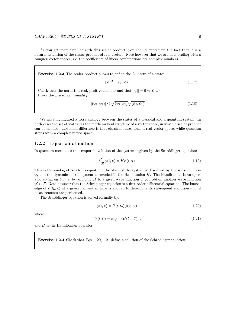As you get more familiar with this scalar product, you should appreciate the fact that it is a natural extension of the scalar product of real vectors. Note however that we are now dealing with a complex vector spaces, i.e. the coefficients of linear combinations are complex numbers.

**Exercise 1.2.3** The scalar product allows to define the  $L^2$  norm of a state:

$$
\|\psi\|^2 = (\psi, \psi) \tag{1.17}
$$

Check that the norm is a real, positive number and that  $\|\psi\| = 0 \Leftrightarrow \psi \equiv 0$ . Prove the Schwartz inequality:

$$
|(\psi_1, \psi_2)| \le \sqrt{(\psi_1, \psi_1)} \sqrt{(\psi_2, \psi_2)} \tag{1.18}
$$

We have highlighted a close analogy between the states of a classical and a quantum system. In both cases the set of states has the mathematical structure of a vector space, in which a scalar product can be defined. The main difference is that classical states form a real vector space, while quantum states form a complex vector space.

## 1.2.2 Equation of motion

In quantum mechanics the temporal evolution of the system is given by the Schrödinger equation:

$$
i\frac{\partial}{\partial t}\psi(t,\mathbf{x}) = H\psi(t,\mathbf{x}).
$$
\n(1.19)

This is the analog of Newton's equation: the state of the system is described by the wave function  $\psi$ , and the dynamics of the system is encoded in the Hamiltonian H. The Hamiltonian is an operator acting on F, *i.e.* by applying H to a given wave function  $\psi$  you obtain another wave function  $\psi' \in \mathcal{F}$ . Note however that the Schrödinger equation is a first-order differential equation. The knowledge of  $\psi(t_0, \mathbf{x})$  at a given moment in time is enough to determine its subsequent evolution - until measurements are performed.

The Schrödinger equation is solved formally by:

$$
\psi(t, \mathbf{x}) = U(t, t_0)\psi(t_0, \mathbf{x}),\tag{1.20}
$$

where

$$
U(t, t') = \exp[-iH(t - t')] \tag{1.21}
$$

and  $H$  is the Hamiltonian operator.

Exercise 1.2.4 Check that Eqs. 1.20, 1.21 define a solution of the Schrödinger equation.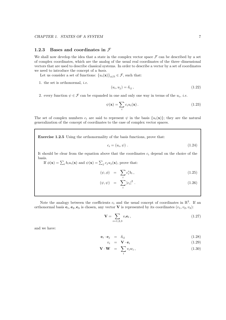## 1.2.3 Bases and coordinates in  $\mathcal F$

We shall now develop the idea that a state in the complex vector space  $\mathcal F$  can be described by a set of complex coordinates, which are the analog of the usual real coordinates of the three–dimensional vectors that are used to describe classical systems. In order to describe a vector by a set of coordinates we need to introduce the concept of a basis.

Let us consider a set of functions:  ${u_i(\mathbf{x})}_{i \in \mathbb{N}} \in \mathcal{F}$ , such that:

1. the set is orthonormal, i.e.

$$
(u_i, u_j) = \delta_{ij}, \qquad (1.22)
$$

2. every function  $\psi \in \mathcal{F}$  can be expanded in one and only one way in terms of the  $u_i$ , *i.e.* 

$$
\psi(\mathbf{x}) = \sum_{i} c_i u_i(\mathbf{x}). \tag{1.23}
$$

The set of complex numbers  $c_i$  are said to represent  $\psi$  in the basis  $\{u_i(\mathbf{x})\}$ ; they are the natural generalization of the concept of coordinates to the case of complex vector spaces.

Exercise 1.2.5 Using the orthonormality of the basis functions, prove that:

$$
c_i = (u_i, \psi) \tag{1.24}
$$

It should be clear from the equation above that the coordinates  $c_i$  depend on the choice of the basis.

If  $\phi(\mathbf{x}) = \sum_i b_i u_i(\mathbf{x})$  and  $\psi(\mathbf{x}) = \sum_j c_j u_j(\mathbf{x})$ , prove that:

$$
(\psi, \phi) = \sum_{i} c_i^* b_i, \qquad (1.25)
$$

$$
(\psi, \psi) = \sum_{i} |c_i|^2.
$$
 (1.26)

Note the analogy between the coefficients  $c_i$  and the usual concept of coordinates in  $\mathbb{R}^3$ . If an orthonormal basis  $e_1, e_2, e_3$  is chosen, any vector V is represented by its coordinates  $(v_1, v_2, v_3)$ :

$$
\mathbf{V} = \sum_{i=1,2,3} v_i \mathbf{e}_i, \tag{1.27}
$$

and we have:

$$
\mathbf{e}_i \cdot \mathbf{e}_j = \delta_{ij} \tag{1.28}
$$

$$
v_i = \mathbf{V} \cdot \mathbf{e}_i \tag{1.29}
$$

$$
\mathbf{V} \cdot \mathbf{W} = \sum_{i} v_i w_i, \qquad (1.30)
$$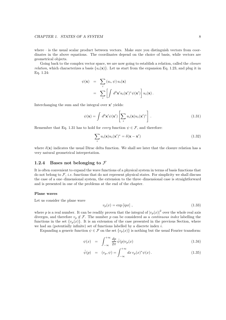where  $\cdot$  is the usual scalar product between vectors. Make sure you distinguish vectors from coordinates in the above equations. The coordinates depend on the choice of basis, while vectors are geometrical objects.

Going back to the complex vector space, we are now going to establish a relation, called the *closure relation*, which characterizes a basis  $\{u_i(\mathbf{x})\}$ . Let us start from the expansion Eq. 1.23, and plug it in Eq. 1.24:

$$
\psi(\mathbf{x}) = \sum_{i} (u_i, \psi) u_i(\mathbf{x})
$$

$$
= \sum_{i} \left[ \int d^3 \mathbf{x}' u_i(\mathbf{x}')^* \psi(\mathbf{x}') \right] u_i(\mathbf{x}).
$$

Interchanging the sum and the integral over  $x'$  yields:

$$
\psi(\mathbf{x}) = \int d^3 \mathbf{x}' \psi(\mathbf{x}') \left[ \sum_i u_i(\mathbf{x}) u_i(\mathbf{x}')^* \right]. \tag{1.31}
$$

Remember that Eq. 1.31 has to hold for *every* function  $\psi \in \mathcal{F}$ , and therefore:

$$
\sum_{i} u_i(\mathbf{x}) u_i(\mathbf{x}')^* = \delta(\mathbf{x} - \mathbf{x}') \tag{1.32}
$$

where  $\delta(\mathbf{x})$  indicates the usual Dirac delta function. We shall see later that the closure relation has a very natural geometrical interpretation.

#### 1.2.4 Bases not belonging to  $\mathcal F$

It is often convenient to expand the wave functions of a physical system in terms of basis functions that do not belong to  $\mathcal{F}$ , *i.e.* functions that do not represent physical states. For simplicity we shall discuss the case of a one–dimensional system, the extension to the three–dimensional case is straightforward and is presented in one of the problems at the end of the chapter.

#### Plane waves

Let us consider the plane wave

$$
v_p(x) = \exp[ipx], \qquad (1.33)
$$

where p is a real number. It can be readily proven that the integral of  $|v_p(x)|^2$  over the whole real axis diverges, and therefore  $v_p \notin \mathcal{F}$ . The number p can be considered as a *continuous index* labelling the functions in the set  $\{v_p(x)\}\$ . It is an extension of the case presented in the previous Section, where we had an (potentially infinite) set of functions labelled by a discrete index i.

Expanding a generic function  $\psi \in \mathcal{F}$  on the set  $\{v_p(x)\}\$ is nothing but the usual Fourier transform:

$$
\psi(x) = \int_{-\infty}^{+\infty} \frac{dp}{2\pi} \tilde{\psi}(p) v_p(x) \tag{1.34}
$$

$$
\tilde{\psi}(p) = (v_p, \psi) = \int_{-\infty}^{+\infty} dx \, v_p(x)^* \psi(x).
$$
\n(1.35)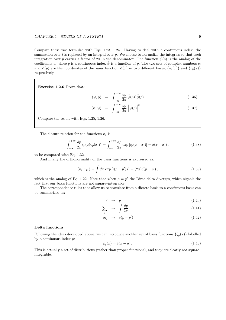#### CHAPTER 1. STATES OF A SYSTEM 9

Compare these two formulae with Eqs. 1.23, 1.24. Having to deal with a continuous index, the summation over  $i$  is replaced by an integral over  $p$ . We choose to normalize the integrals so that each integration over p carries a factor of  $2\pi$  in the denominator. The function  $\tilde{\psi}(p)$  is the analog of the coefficients  $c_i$ ; since p is a continuous index  $\tilde{\psi}$  is a function of p. The two sets of complex numbers  $c_i$ and  $\tilde{\psi}(p)$  are the coordinates of the same function  $\psi(x)$  in two different bases,  $\{u_i(x)\}\$  and  $\{v_p(x)\}\$ respectively.

Exercise 1.2.6 Prove that:

$$
(\psi, \phi) = \int_{-\infty}^{+\infty} \frac{dp}{2\pi} \tilde{\psi}(p)^* \tilde{\phi}(p) \qquad (1.36)
$$

$$
(\psi, \psi) = \int_{-\infty}^{+\infty} \frac{dp}{2\pi} \left| \tilde{\psi}(p) \right|^2.
$$
 (1.37)

Compare the result with Eqs. 1.25, 1.26.

The closure relation for the functions  $v_p$  is:

$$
\int_{-\infty}^{+\infty} \frac{dp}{2\pi} v_p(x) v_p(x')^* = \int_{-\infty}^{+\infty} \frac{dp}{2\pi} \exp\left[i p(x - x')\right] = \delta(x - x'),\tag{1.38}
$$

to be compared with Eq. 1.32.

And finally the orthonormality of the basis functions is expressed as:

$$
(v_p, v_{p'}) = \int dx \exp[i(p - p')x] = (2\pi)\delta(p - p'), \qquad (1.39)
$$

which is the analog of Eq. 1.22. Note that when  $p = p'$  the Dirac delta diverges, which signals the fact that our basis functions are not square–integrable.

The correspondence rules that allow us to translate from a dicrete basis to a continuous basis can be summarized as:

$$
i \leftrightarrow p \tag{1.40}
$$

$$
\sum_{i} \quad \leftrightarrow \quad \int \frac{dp}{2\pi} \tag{1.41}
$$

$$
\delta_{ij} \quad \leftrightarrow \quad \delta(p - p') \tag{1.42}
$$

#### Delta functions

Following the ideas developed above, we can introduce another set of basis functions  $\{\xi_y(x)\}\$ labelled by a continuous index  $y$ :

$$
\xi_y(x) = \delta(x - y). \tag{1.43}
$$

This is actually a set of distributions (rather than proper functions), and they are clearly not square– integrable.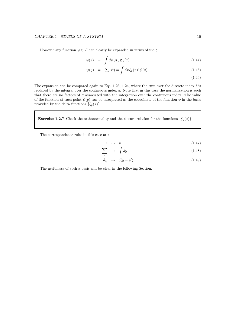However any function  $\psi \in \mathcal{F}$  can clearly be expanded in terms of the  $\xi$ :

$$
\psi(x) = \int dy \, \psi(y) \xi_y(x) \tag{1.44}
$$

$$
\psi(y) = (\xi_y, \psi) = \int dx \, \xi_y(x)^* \psi(x). \tag{1.45}
$$

(1.46)

The expansion can be compared again to Eqs. 1.23, 1.24, where the sum over the discrete index  $i$  is replaced by the integral over the continuous index y. Note that in this case the normalization is such that there are no factors of  $\pi$  associated with the integration over the continuous index. The value of the function at each point  $\psi(y)$  can be interpreted as the coordinate of the function  $\psi$  in the basis provided by the delta functions  $\{\xi_y(x)\}.$ 

**Exercise 1.2.7** Check the orthonormality and the closure relation for the functions  $\{\xi_y(x)\}.$ 

The correspondence rules in this case are:

$$
i \leftrightarrow y \tag{1.47}
$$

$$
\sum_{i} \leftrightarrow \int dy \tag{1.48}
$$

$$
\delta_{ij} \leftrightarrow \delta(y - y') \tag{1.49}
$$

The usefulness of such a basis will be clear in the following Section.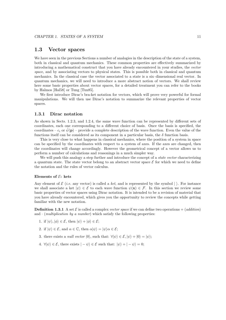# 1.3 Vector spaces

We have seen in the previous Sections a number of analogies in the description of the state of a system, both in classical and quantum mechanics. These common properties are effectively summarized by introducing a mathematical construct that you have already encountered in your studies, the vector space, and by associating vectors to physical states. This is possible both in classical and quantum mechanics. In the classical case the vector associated to a state is a six–dimensional real vector. In quantum mechanics, we will need to introduce a more abstract notion of vectors. We shall review here some basic properties about vector spaces, for a detailed treatment you can refer to the books by Halmos [Hal58] or Tung [Tun85].

We first introduce Dirac's bra-ket notation for vectors, which will prove very powerful for formal manipulations. We will then use Dirac's notation to summarize the relevant properties of vector spaces.

## 1.3.1 Dirac notation

As shown in Sects. 1.2.3, and 1.2.4, the same wave function can be represented by different sets of coordinates, each one corresponding to a different choice of basis. Once the basis is specified, the coordinates –  $c_i$  or  $\tilde{\psi}(\mathbf{p})$  – provide a complete description of the wave function. Even the value of the functions itself can be considered as its component in a particular basis, the  $\delta$  function basis.

This is very close to what happens in classical mechanics, where the position of a system in space can be specified by the coordinates with respect to a system of axes. If the axes are changed, then the coordinates will change accordingly. However the geometrical concept of a vector allows us to perform a number of calculations and reasonings in a much simpler way.

We will push this analogy a step further and introduce the concept of a *state vector* characterizing a quantum state. The state vector belong to an abstract vector space  $\mathcal E$  for which we need to define the notation and the rules of vector calculus.

#### Elements of  $E$ : kets

Any element of  $\mathcal E$  (*i.e.* any vector) is called a ket, and is represented by the symbol  $|\rangle$ . For instance we shall associate a ket  $|\psi\rangle \in \mathcal{E}$  to each wave function  $\psi(\mathbf{x}) \in \mathcal{F}$ . In this section we review some basic properties of vector spaces using Dirac notation. It is intended to be a revision of material that you have already encountered, which gives you the opportunity to review the concepts while getting familiar with the new notation.

**Definition 1.3.1** A set  $\mathcal{E}$  is called a complex vector space if we can define two operations + (addition) and  $\cdot$  (*multiplication by a number*) which satisfy the following properties:

- 1. if  $|\psi\rangle, |\phi\rangle \in \mathcal{E}$ , then  $|\psi\rangle + |\phi\rangle \in \mathcal{E}$ ;
- 2. if  $|\psi\rangle \in \mathcal{E}$ , and  $\alpha \in \mathbb{C}$ , then  $\alpha|\psi\rangle = |\psi\rangle \alpha \in \mathcal{E}$ ;
- 3. there exists a *null vector*  $|0\rangle$ , such that:  $\forall |\psi\rangle \in \mathcal{E}, |\psi\rangle + |0\rangle = |\psi\rangle;$
- 4.  $\forall |\psi\rangle \in \mathcal{E}$ , there exists  $| \psi \rangle \in \mathcal{E}$  such that:  $|\psi\rangle + | \psi \rangle = 0$ ;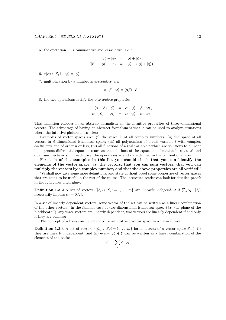5. the operation  $+$  is *commutative* and *associative*, *i.e.* :

$$
|\psi\rangle + |\phi\rangle = |\phi\rangle + |\psi\rangle ,
$$
  

$$
(|\psi\rangle + |\phi\rangle) + |\eta\rangle = |\psi\rangle + (|\phi\rangle + |\eta\rangle) ;
$$

6.  $\forall |\psi\rangle \in \mathcal{E}, 1 \cdot |\psi\rangle = |\psi\rangle;$ 

7. multiplication by a number is associative, i.e.

$$
\alpha \cdot \beta \cdot |\psi\rangle = (\alpha \beta) \cdot \psi\rangle ;
$$

8. the two operations satisfy the distributive properties:

 $(\alpha + \beta) \cdot |\psi\rangle = \alpha \cdot |\psi\rangle + \beta \cdot |\psi\rangle,$  $\alpha \cdot (|\psi\rangle + |\phi\rangle) = \alpha \cdot |\psi\rangle + \alpha \cdot |\phi\rangle.$ 

This definition encodes in an abstract formalism all the intuitive properties of three–dimensional vectors. The advantage of having an abstract formalism is that it can be used to analyze situations where the intuitive picture is less clear.

Examples of vector spaces are: (i) the space  $\mathbb C$  of all complex numbers; (ii) the space of all vectors in d–dimensional Euclidean space; (iii) all polynomials of a real variable t with complex coefficients and of order n or less; (iv) all functions of a real variable t which are solutions to a linear homogenous differential equation (such as the solutions of the equations of motion in classical and quantum mechanics). In each case, the operations  $+$  and  $\cdot$  are defined in the conventional way.

For each of the examples in this list you chould check that you can identify the elements of the vector space, i.e. the vectors, that you can sum vectors, that you can multiply the vectors by a complex number, and that the above properties are all verified!!

We shall now give some more definitions, and state without proof some properties of vector spaces that are going to be useful in the rest of the course. The interested reader can look for detailed proofs in the references cited above.

**Definition 1.3.2** A set of vectors  $\{|\phi_i\rangle \in \mathcal{E}, i = 1, \ldots, m\}$  are linearly independent if  $\sum_i \alpha_i \cdot |\phi_i\rangle$ necessarily implies  $\alpha_i = 0, \forall i$ .

In a set of linearly dependent vectors, some vector of the set can be written as a linear combination of the other vectors. In the familiar case of two–dimensional Euclidean space  $(i.e.$  the plane of the blackboard!!), any three vectors are linearly dependent, two vectors are linearly dependent if and only if they are collinear.

The concept of a basis can be extended to an abstract vector space in a natural way.

**Definition 1.3.3** A set of vectors  $\{|\phi_i\rangle \in \mathcal{E}, i = 1, \ldots, m\}$  forms a basis of a vector space  $\mathcal{E}$  if: (i) they are linearly independent; and (ii) every  $|\psi\rangle \in \mathcal{E}$  can be written as a linear combination of the elements of the basis:

$$
|\psi\rangle = \sum_i \psi_i |\phi_i\rangle
$$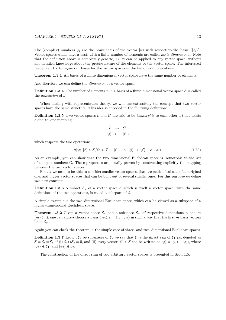The (complex) numbers  $\psi_i$  are the *coordinates* of the vector  $|\psi\rangle$  with respect to the basis  $\{|\phi_i\rangle\}$ . Vector spaces which have a basis with a finite number of elements are called finite dimensional. Note that the definition above is completely generic, i.e. it can be applied to any vector space, without any detailed knowledge about the precise nature of the elements of the vector space. The interested reader can try to figure out bases for the vector spaces in the list of examples above.

Theorem 1.3.1 All bases of a finite dimenionsal vector space have the same number of elements.

And therefore we can define the dimension of a vector space:

**Definition 1.3.4** The number of elements n in a basis of a finite dimensional vector space  $\mathcal{E}$  is called the *dimension* of  $\mathcal{E}$ .

When dealing with representation theory, we will use extensively the concept that two vector spaces have the same structure. This idea is encoded in the following definition:

**Definition 1.3.5** Two vector spaces  $\mathcal{E}$  and  $\mathcal{E}'$  are said to be *isomorphic* to each other if there exists a one–to–one mapping:

$$
\begin{array}{rcl} \mathcal{E} & \rightarrow & \mathcal{E}' \\ | \psi \rangle & \mapsto & | \psi' \rangle \end{array}
$$

which respects the two operations:

$$
\forall |\psi\rangle, |\phi\rangle \in \mathcal{E}, \forall \alpha \in \mathbb{C}, \quad |\psi\rangle + \alpha \cdot |\phi\rangle \mapsto |\psi'\rangle + \alpha \cdot |\phi'\rangle \tag{1.50}
$$

As an example, you can show that the two–dimensional Euclidean space is isomorphic to the set of complex numbers C. These properties are usually proven by constructing explicitly the mapping between the two vector spaces.

Finally we need to be able to consider smaller vector spaces, that are made of subsets of an original one, and bigger vector spaces that can be built out of several smaller ones. For this purpose we define two new concepts.

**Definition 1.3.6** A subset  $\mathcal{E}_n$  of a vector space  $\mathcal{E}$  which is itself a vector space, with the same definitions of the two operations, is called a subspace of  $\mathcal{E}$ .

A simple example is the two–dimensional Euclidean space, which can be viewed as a subspace of a higher–dimensional Euclidean space.

**Theorem 1.3.2** Given a vector space  $\mathcal{E}_n$  and a subspace  $\mathcal{E}_m$  of respective dimensions n and m  $(m < n)$ , one can always choose a basis  $\{\phi_i\}, i = 1, \ldots, n\}$  in such a way that the first m basis vectors lie in  $\mathcal{E}_m$ .

Again you can check the theorem in the simple case of three- and two–dimensional Euclidean spaces.

**Definition 1.3.7** Let  $\mathcal{E}_1, \mathcal{E}_2$  be subspaces of  $\mathcal{E}$ , we say that  $\mathcal{E}$  is the *direct sum* of  $\mathcal{E}_1, \mathcal{E}_2$ , denoted as  $\mathcal{E} = \mathcal{E}_1 \oplus \mathcal{E}_2$ , if (i)  $\mathcal{E}_1 \cap \mathcal{E}_2 = \emptyset$ , and (ii) every vector  $|\psi\rangle \in \mathcal{E}$  can be written as  $|\psi\rangle = |\psi_1\rangle + |\psi_2\rangle$ , where  $|\psi_1\rangle \in \mathcal{E}_1$ , and  $|\psi_2\rangle \in \mathcal{E}_2$ .

The construction of the direct sum of two arbitrary vector spaces is presented in Sect. 1.5.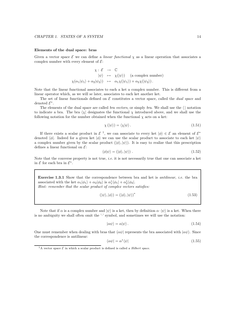#### Elements of the dual space: bras

Given a vector space  $\mathcal E$  we can define a *linear functional*  $\chi$  as a linear operation that associates a complex number with every element of  $\mathcal{E}$ :

$$
\chi: \mathcal{E} \to \mathbb{C}
$$
  
\n $|\psi\rangle \mapsto \chi(|\psi\rangle)$  (a complex number)  
\n $\chi(\alpha_1|\psi_1\rangle + \alpha_2|\psi_2\rangle) \mapsto \alpha_1\chi(|\psi_1\rangle) + \alpha_2\chi(|\psi_2\rangle).$ 

Note that the linear functional associates to each a ket a complex number. This is different from a linear operator which, as we will se later, associates to each ket another ket.

The set of linear functionals defined on  $\mathcal E$  constitutes a vector space, called the *dual space* and denoted  $\mathcal{E}^*$ .

The elements of the dual space are called *bra vectors*, or simply *bra*. We shall use the  $\langle \rangle$  notation to indicate a bra. The bra  $\chi$  designates the functional  $\chi$  introduced above, and we shall use the following notation for the number obtained when the functional  $\chi$  acts on a ket:

$$
\chi(|\psi\rangle) = \langle \chi|\psi\rangle. \tag{1.51}
$$

If there exists a scalar product in  $\mathcal{E}^{-1}$ , we can associate to every ket  $|\phi\rangle \in \mathcal{E}$  an element of  $\mathcal{E}^*$ denoted  $\langle \phi |$ . Indeed for a given ket  $|\phi \rangle$  we can use the scalar product to associate to each ket  $|\psi \rangle$ a complex number given by the scalar product  $(|\phi\rangle, |\psi\rangle)$ . It is easy to realize that this prescription defines a linear functional on  $\mathcal{E}$ :

$$
\langle \phi | \psi \rangle = (|\phi\rangle, |\psi\rangle) \tag{1.52}
$$

Note that the converse property is not true, *i.e.* it is not necessarily true that one can associate a ket in  $\mathcal E$  for each bra in  $\mathcal E^*$ .

**Exercise 1.3.1** Show that the correspondence between bra and ket is *antilinear*, *i.e.* the bra associated with the ket  $\alpha_1|\phi_1\rangle + \alpha_2|\phi_2\rangle$  is  $\alpha_1^*\langle\phi_1| + \alpha_2^*\langle\phi_2|$ .

Hint: remember that the scalar product of complex vectors satisfies:

$$
(|\psi\rangle, |\phi\rangle) = (|\phi\rangle, |\psi\rangle)^* \tag{1.53}
$$

Note that if  $\alpha$  is a complex number and  $|\psi\rangle$  is a ket, then by definition  $\alpha \cdot |\psi\rangle$  is a ket. When there is no ambiguity we shall often omit the '·' symbol, and sometimes we will use the notation:

$$
|\alpha \psi\rangle = \alpha |\psi\rangle. \tag{1.54}
$$

One must remember when dealing with bras that  $\langle \alpha \psi |$  represents the bra associated with  $| \alpha \psi \rangle$ . Since the correspondence is antilinear:

$$
\langle \alpha \psi | = \alpha^* \langle \psi | \tag{1.55}
$$

<sup>&</sup>lt;sup>1</sup>A vector space  $\mathcal E$  in which a scalar product is defined is called a *Hilbert space*.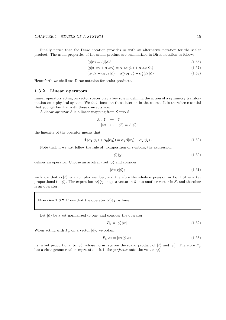Finally notice that the Dirac notation provides us with an alternative notation for the scalar product. The usual properties of the scalar product are summarized in Dirac notation as follows:

$$
\langle \phi | \psi \rangle = \langle \psi | \phi \rangle^* \tag{1.56}
$$

$$
\langle \phi | \alpha_1 \psi_1 + \alpha_2 \psi_2 \rangle = \alpha_1 \langle \phi | \psi_1 \rangle + \alpha_2 \langle \phi | \psi_2 \rangle \tag{1.57}
$$

$$
\langle \alpha_1 \phi_1 + \alpha_2 \psi_2 | \psi \rangle = \alpha_1^* \langle \phi_1 | \psi \rangle + \alpha_2^* \langle \phi_2 | \psi \rangle. \tag{1.58}
$$

Henceforth we shall use Dirac notation for scalar products.

## 1.3.2 Linear operators

Linear operators acting on vector spaces play a key role in defining the action of a symmetry transformation on a physical system. We shall focus on these later on in the course. It is therefore essential that you get familiar with these concepts now.

A linear operator A is a linear mapping from  $\mathcal E$  into  $\mathcal E$ :

$$
A: \mathcal{E} \rightarrow \mathcal{E}
$$
  

$$
|\psi\rangle \mapsto |\psi'\rangle = A|\psi\rangle ;
$$

the linearity of the operator means that:

$$
A(\alpha_1|\psi_1\rangle + \alpha_2|\psi_2\rangle) = \alpha_1 A|\psi_1\rangle + \alpha_2|\psi_2\rangle.
$$
 (1.59)

Note that, if we just follow the rule of juxtaposition of symbols, the expression:

$$
|\psi\rangle\langle\chi|\tag{1.60}
$$

defines an operator. Choose an arbitrary ket  $|\phi\rangle$  and consider:

$$
|\psi\rangle\langle\chi|\phi\rangle\,;\tag{1.61}
$$

we know that  $\langle \chi | \phi \rangle$  is a complex number, and therefore the whole expression in Eq. 1.61 is a ket proportional to  $|\psi\rangle$ . The expression  $|\psi\rangle\langle\chi|$  maps a vector in  $\mathcal E$  into another vector in  $\mathcal E$ , and therefore is an operator.

**Exercise 1.3.2** Prove that the operator  $|\psi\rangle\langle\chi|$  is linear.

Let  $|\psi\rangle$  be a ket normalized to one, and consider the operator:

$$
P_{\psi} = |\psi\rangle\langle\psi| \,. \tag{1.62}
$$

When acting with  $P_{\psi}$  on a vector  $|\phi\rangle$ , we obtain:

$$
P_{\psi}|\phi\rangle = |\psi\rangle\langle\psi|\phi\rangle ,\qquad(1.63)
$$

*i.e.* a ket proportional to  $|\psi\rangle$ , whose norm is given the scalar product of  $|\phi\rangle$  and  $|\psi\rangle$ . Therefore  $P_{\psi}$ has a clear geometrical interpretation: it is the *projector* onto the vector  $|\psi\rangle$ .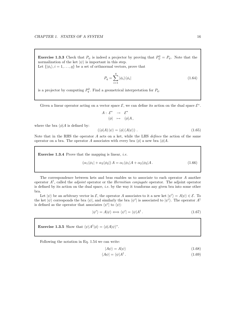**Exercise 1.3.3** Check that  $P_{\psi}$  is indeed a projector by proving that  $P_{\psi}^2 = P_{\psi}$ . Note that the normalization of the ket  $|\psi\rangle$  is important in this step. Let  $\{|\phi_i\rangle, i = 1, \ldots, q\}$  be a set of orthnormal vectors, prove that

$$
P_q = \sum_{i=1}^q |\phi_i\rangle\langle\phi_i| \tag{1.64}
$$

is a projector by computing  $P_q^2$ . Find a geometrical interpretation for  $P_q$ .

Given a linear operator acting on a vector space  $\mathcal{E}$ , we can define its action on the dual space  $\mathcal{E}^*$ .

$$
A: \mathcal{E}^* \rightarrow \mathcal{E}^*
$$
  
\n
$$
\langle \phi | \rightarrow \langle \phi | A, \rangle
$$
  
\n
$$
(\langle \phi | A \rangle | \psi \rangle = \langle \phi | (A | \psi \rangle).
$$
\n(1.65)

where the bra  $\langle \phi | A$  is defined by:

Note that in the RHS the operator  $A$  acts on a ket, while the LHS *defines* the action of the same operator on a bra. The operator A associates with every bra  $\langle \phi |$  a new bra  $\langle \phi | A$ .

**Exercise 1.3.4** Prove that the mapping is linear, *i.e.* 

$$
(\alpha_1 \langle \phi_1 | + \alpha_2 \langle \phi_2 |) A = \alpha_1 \langle \phi_1 | A + \alpha_2 \langle \phi_2 | A. \tag{1.66}
$$

The correspondence between kets and bras enables us to associate to each operator A another operator  $A^{\dagger}$ , called the *adjoint* operator or the *Hermitian conjugate* operator. The adjoint operator is defined by its action on the dual space, i.e. by the way it tranforms any given bra into some other bra.

Let  $|\psi\rangle$  be an arbitrary vector in  $\mathcal{E}$ , the operator A associates to it a new ket  $|\psi'\rangle = A|\psi\rangle \in \mathcal{E}$ . To the ket  $|\psi\rangle$  corresponds the bra  $\langle\psi|$ , and similarly the bra  $\langle\psi'|$  is associated to  $|\psi'\rangle$ . The operator  $A^{\dagger}$ is defined as the operator that associates  $\langle \psi' |$  to  $\langle \psi |$ :

$$
|\psi'\rangle = A|\psi\rangle \Longleftrightarrow \langle \psi'| = \langle \psi | A^{\dagger} \,. \tag{1.67}
$$

**Exercise 1.3.5** Show that  $\langle \psi | A^{\dagger} | \phi \rangle = \langle \phi | A | \psi \rangle^*$ .

Following the notation in Eq. 1.54 we can write:

$$
|A\psi\rangle = A|\psi\rangle \tag{1.68}
$$

$$
\langle A\psi | = \langle \psi | A^{\dagger} \,. \tag{1.69}
$$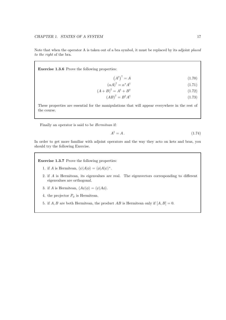Note that when the operator A is taken out of a bra symbol, it must be replaced by its adjoint placed to the right of the bra.

 $\mathbf{A}$ 

Exercise 1.3.6 Prove the following properties:

$$
\left(A^{\dagger}\right)^{\dagger} = A \tag{1.70}
$$

$$
(\alpha A)^{\dagger} = \alpha^* A^{\dagger} \tag{1.71}
$$

$$
(A+B)^{\dagger} = A^{\dagger} + B^{\dagger} \tag{1.72}
$$

$$
(AB)^{\dagger} = B^{\dagger} A^{\dagger} \tag{1.73}
$$

These properties are essential for the manipulations that will appear everywhere in the rest of the course.

Finally an operator is said to be *Hermitean* if:

$$
A^{\dagger} = A. \tag{1.74}
$$

In order to get more familiar with adjoint operators and the way they acto on kets and bras, you should try the following Exercise.

Exercise 1.3.7 Prove the following properties:

- 1. if A is Hermitean,  $\langle \psi | A | \phi \rangle = \langle \phi | A | \psi \rangle^*$ .
- 2. if A is Hermitean, its eigenvalues are real. The eigenvectors corresponding to different eigenvalues are orthogonal.

3. if A is Hermitean,  $\langle A\psi|\phi\rangle = \langle \psi|A\phi\rangle$ .

4. the projector  $P_{\psi}$  is Hermitean.

5. if  $A, B$  are both Hermitean, the product  $AB$  is Hermitean only if  $[A, B] = 0$ .

 $\lambda$   $\lambda$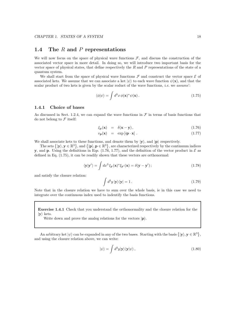# 1.4 The  $R$  and  $P$  representations

We will now focus on the space of physical wave functions  $\mathcal{F}$ , and discuss the construction of the associated vector space in more detail. In doing so, we will introduce two important basis for the vector space of physical states, that define respectively the  $R$  and  $P$  representations of the state of a quantum system.

We shall start from the space of physical wave functions  $\mathcal F$  and construct the vector space  $\mathcal E$  of associated kets. We assume that we can associate a ket  $|\psi\rangle$  to each wave function  $\psi(\mathbf{x})$ , and that the scalar product of two kets is given by the scalar roduct of the wave functions, *i.e.* we *assume*':

$$
\langle \phi | \psi \rangle = \int d^3x \, \phi(\mathbf{x})^* \psi(\mathbf{x}). \tag{1.75}
$$

## 1.4.1 Choice of bases

As discussed in Sect. 1.2.4, we can expand the wave functions in  $\mathcal F$  in terms of basis functions that do not belong to  $\mathcal F$  itself:

$$
\xi_{\mathbf{y}}(\mathbf{x}) = \delta(\mathbf{x} - \mathbf{y}), \qquad (1.76)
$$

$$
v_{\mathbf{p}}(\mathbf{x}) = \exp[i\mathbf{p} \cdot \mathbf{x}]. \tag{1.77}
$$

We shall associate kets to these functions, and denote them by  $|y\rangle$ , and  $|p\rangle$  respectively.

The sets  $\{|\mathbf{y}\rangle, \mathbf{y} \in \mathbb{R}^3\}$ , and  $\{|\mathbf{p}\rangle, \mathbf{p} \in \mathbb{R}^3\}$ , are characterized respectively by the continuum indices y, and p. Using the definitions in Eqs. (1.76, 1.77), and the definition of the vector product in  $\mathcal E$  as defined in Eq. (1.75), it can be readily shown that these vectors are orthonormal:

$$
\langle \mathbf{y} | \mathbf{y}' \rangle = \int dx^3 \, \xi_{\mathbf{y}}(\mathbf{x})^* \xi_{\mathbf{y}'}(\mathbf{x}) = \delta(\mathbf{y} - \mathbf{y}') \, ; \tag{1.78}
$$

and satisfy the closure relation:

$$
\int d^3y \, |\mathbf{y}\rangle\langle\mathbf{y}| = 1. \tag{1.79}
$$

Note that in the closure relation we have to sum over the whole basis, ie in this case we need to integrate over the continuous index used to indentify the basis functions.

Exercise 1.4.1 Check that you understand the orthonormality and the closure relation for the  $|y\rangle$  kets.

Write down and prove the analog relations for the vectors  $|\mathbf{p}\rangle$ .

An arbitrary ket  $|\psi\rangle$  can be expanded in any of the two bases. Starting with the basis  $\{|\mathbf{y}\rangle, \mathbf{y} \in \mathbb{R}^3\},$ and using the closure relation above, we can write:

$$
|\psi\rangle = \int d^3y |\mathbf{y}\rangle\langle\mathbf{y}|\psi\rangle\,,\tag{1.80}
$$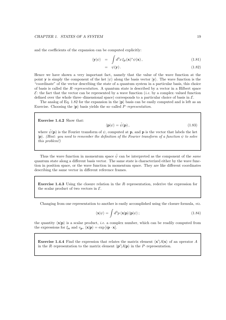and the coefficients of the expansion can be computed explicitly:

$$
\langle \mathbf{y} | \psi \rangle = \int d^3 x \, \xi_{\mathbf{y}}(\mathbf{x})^* \psi(\mathbf{x}), \qquad (1.81)
$$

$$
= \psi(\mathbf{y}). \tag{1.82}
$$

Hence we have shown a very important fact, namely that the value of the wave function at the point y is simply the component of the ket  $|\psi\rangle$  along the basis vector  $|\mathbf{y}\rangle$ . The wave function is the "coordinate" of the vector describing the state of a quantum system in a particular basis, this choice of basis is called the  $R$ –representation. A quantum state is described by a vector in a Hilbert space  $\mathcal{E}$ : the fact that the vector can be represented by a wave function *(i.e.* by a complex-valued function defined over the whole three–dimensional space) corresponds to a particular choice of basis in  $\mathcal{E}$ .

The analog of Eq. 1.82 for the expansion in the  $|p\rangle$  basis can be easily computed and is left as an Exercise. Choosing the  $|{\bf p}\rangle$  basis yields the so–called *P–representation*.

Exercise 1.4.2 Show that:

$$
\langle \mathbf{p} | \psi \rangle = \tilde{\psi}(\mathbf{p}), \tag{1.83}
$$

where  $\tilde{\psi}(\mathbf{p})$  is the Fourier transform of  $\psi$ , computed at **p**, and **p** is the vector that labels the ket  $|\mathbf{p}\rangle$ . (Hint: you need to remember the definition of the Fourier transform of a function  $\psi$  to solve this problem!)

Thus the wave function in momentum space  $\tilde{\psi}$  can be interpreted as the component of the same quantum state along a different basis vector. The same state is characterized either by the wave function in position space, or the wave function in momentum space. They are like different coordinates describing the same vector in different reference frames.

Exercise 1.4.3 Using the closure relation in the R–representation, rederive the expression for the scalar product of two vectors in  $\mathcal{E}$ .

Changing from one representation to another is easily accomplished using the closure formula, viz.

$$
\langle \mathbf{x} | \psi \rangle = \int d^3 p \langle \mathbf{x} | \mathbf{p} \rangle \langle \mathbf{p} | \psi \rangle ; \qquad (1.84)
$$

the quantity  $\langle \mathbf{x}|\mathbf{p} \rangle$  is a scalar product, *i.e.* a complex number, which can be readily computed from the expressions for  $\xi_{\mathbf{x}}$  and  $v_{\mathbf{p}}$ ,  $\langle \mathbf{x} | \mathbf{p} \rangle = \exp[i \mathbf{p} \cdot \mathbf{x}].$ 

**Exercise 1.4.4** Find the expression that relates the matrix element  $\langle \mathbf{x}' | A | \mathbf{x} \rangle$  of an operator A in the R–representation to the matrix element  $\langle \mathbf{p}'|A|\mathbf{p} \rangle$  in the P–representation.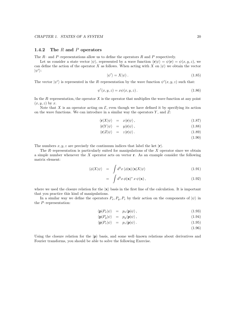## 1.4.2 The  $R$  and  $P$  operators

The  $R-$  and P–representations allow us to define the operators  $R$  and P respectively.

Let us consider a state vector  $|\psi\rangle$ , represented by a wave function  $\langle \mathbf{r} | \psi \rangle = \psi(\mathbf{r}) = \psi(x, y, z)$ , we can define the action of the operator X as follows. When acting with X on  $|\psi\rangle$  we obtain the vector  $|\psi'\rangle$ :

$$
|\psi'\rangle = X|\psi\rangle. \tag{1.85}
$$

The vector  $|\psi'\rangle$  is represented in the R-representation by the wave function  $\psi'(x, y, z)$  such that:

$$
\psi'(x, y, z) = x\psi(x, y, z). \tag{1.86}
$$

In the R–representation, the operator  $X$  is the operator that multiplies the wave function at any point  $(x, y, z)$  by x.

Note that X is an operator acting on  $\mathcal{E}$ , even though we have defined it by specifying its action on the wave functions. We can introduce in a similar way the operators  $Y$ , and  $Z$ :

$$
\langle \mathbf{r}|X|\psi \rangle = x \langle \mathbf{r}|\psi \rangle, \qquad (1.87)
$$

$$
\langle \mathbf{r} | Y | \psi \rangle = y \langle \mathbf{r} | \psi \rangle, \qquad (1.88)
$$

- $\langle \mathbf{r} | Z | \psi \rangle = z \langle \mathbf{r} | \psi \rangle.$  (1.89)
	- (1.90)

The numbers  $x, y, z$  are precisely the continuum indices that label the ket  $|r\rangle$ .

The  $R$ –representation is particularly suited for manipulations of the  $X$  operator since we obtain a simple number whenever the  $X$  operator acts on vector  $r$ . As an example consider the following matrix element:

$$
\langle \phi | X | \psi \rangle = \int d^3x \, \langle \phi | \mathbf{x} \rangle \langle \mathbf{x} | X | \psi \rangle \tag{1.91}
$$

$$
= \int d^3x \, \phi(\mathbf{x})^* \, x \, \psi(\mathbf{x}), \qquad (1.92)
$$

where we used the closure relation for the  $|x\rangle$  basis in the first line of the calculation. It is important that you practice this kind of manipulations.

In a similar way we define the operators  $P_x, P_y, P_z$  by their action on the components of  $|\psi\rangle$  in the P–representation:

$$
\langle \mathbf{p} | P_x | \psi \rangle = p_x \langle \mathbf{p} | \psi \rangle, \qquad (1.93)
$$

$$
\langle \mathbf{p} | P_y | \psi \rangle = p_y \langle \mathbf{p} | \psi \rangle, \qquad (1.94)
$$

$$
\langle \mathbf{p} | P_z | \psi \rangle = p_z \langle \mathbf{p} | \psi \rangle. \tag{1.95}
$$

(1.96)

Using the closure relation for the  $|p\rangle$  basis, and some well–known relations about derivatives and Fourier transforms, you should be able to solve the following Exercise.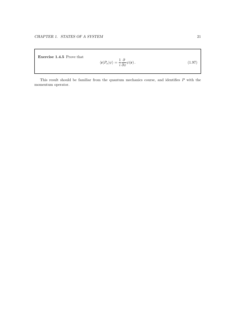Exercise 1.4.5 Prove that

$$
\langle \mathbf{r} | P_x | \psi \rangle = \frac{1}{i} \frac{\partial}{\partial x} \psi(\mathbf{r}). \tag{1.97}
$$

This result should be familiar from the quantum mechanics course, and identifies P with the momentum operator.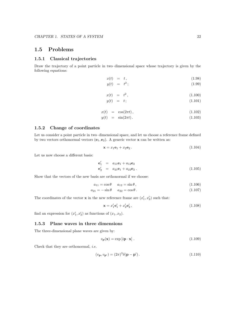# 1.5 Problems

## 1.5.1 Classical trajectories

Draw the trajectory of a point particle in two–dimensional space whose trajectory is given by the following equations:

$$
x(t) = t, \tag{1.98}
$$

$$
y(t) = t^2; \tag{1.99}
$$

$$
x(t) = t^2, \tag{1.100}
$$

$$
y(t) = t; \tag{1.101}
$$

$$
x(t) = \cos(2\pi t), \qquad (1.102)
$$

$$
y(t) = \sin(2\pi t). \tag{1.103}
$$

## 1.5.2 Change of coordinates

Let us consider a point particle in two–dimensional space, and let us choose a reference frame defined by two vectors orthonormal vectors  $(e_1, e_2)$ . A generic vector **x** can be written as:

$$
\mathbf{x} = x_1 \mathbf{e}_1 + x_2 \mathbf{e}_2. \tag{1.104}
$$

Let us now choose a different basis:

$$
\mathbf{e}'_1 = a_{11}\mathbf{e}_1 + a_{12}\mathbf{e}_2 \n\mathbf{e}'_2 = a_{21}\mathbf{e}_1 + a_{22}\mathbf{e}_2.
$$
\n(1.105)

Show that the vectors of the new basis are orthonormal if we choose:

$$
a_{11} = \cos \theta \qquad a_{12} = \sin \theta, \tag{1.106}
$$

$$
a_{21} = -\sin\theta \t a_{22} = \cos\theta. \t (1.107)
$$

The coordinates of the vector **x** in the new reference frame are  $(x'_1, x'_2)$  such that:

$$
\mathbf{x} = x_1' \mathbf{e}_1' + x_2' \mathbf{e}_2',\tag{1.108}
$$

find an expression for  $(x'_1, x'_2)$  as functions of  $(x_1, x_2)$ .

## 1.5.3 Plane waves in three dimensions

The three-dimensional plane waves are given by:

$$
v_{\mathbf{p}}(\mathbf{x}) = \exp[i\mathbf{p} \cdot \mathbf{x}]. \tag{1.109}
$$

Check that they are orthonormal, i.e.

$$
(v_{\mathbf{p}}, v_{\mathbf{p'}}) = (2\pi)^3 \delta(\mathbf{p} - \mathbf{p'}).
$$
\n(1.110)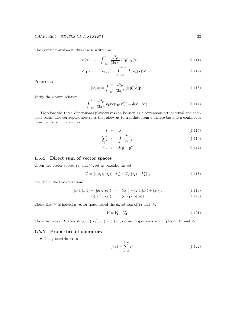The Fourier transfom in this case is written as:

$$
\psi(\mathbf{x}) = \int_{-\infty}^{+\infty} \frac{d^3 p}{(2\pi)^3} \tilde{\psi}(\mathbf{p}) v_{\mathbf{p}}(\mathbf{x}), \qquad (1.111)
$$

$$
\tilde{\psi}(\mathbf{p}) = (v_{\mathbf{p}}, \psi) = \int_{-\infty}^{+\infty} d^3 x \, v_{\mathbf{p}}(\mathbf{x})^* \psi(\mathbf{x}). \tag{1.112}
$$

Prove that:

$$
(\psi, \phi) = \int_{-\infty}^{+\infty} \frac{d^3 p}{(2\pi)^3} \tilde{\psi}(\mathbf{p})^* \tilde{\phi}(\mathbf{p}).
$$
\n(1.113)

Verify the closure relation:

$$
\int_{-\infty}^{+\infty} \frac{d^3 p}{(2\pi)^3} v_{\mathbf{p}}(\mathbf{x}) v_{\mathbf{p}}(\mathbf{x}')^* = \delta(\mathbf{x} - \mathbf{x}'). \tag{1.114}
$$

Therefore the three–dimensional plane-waves can be seen as a continuous orthonormal and complete basis. The correspondence rules that allow us to translate from a dicrete basis to a continuous basis can be summarized as:

$$
i \leftrightarrow \mathbf{p} \tag{1.115}
$$

$$
\sum_{i} \quad \leftrightarrow \quad \int \frac{d^3 p}{(2\pi)^3} \tag{1.116}
$$

$$
\delta_{ij} \quad \leftrightarrow \quad \delta(\mathbf{p} - \mathbf{p}') \tag{1.117}
$$

## 1.5.4 Direct sum of vector spaces

Given two vector spaces  $V_1$ , and  $V_2$ , let us consider the set:

$$
V = \{(|x_1\rangle, |x_2\rangle), |x_1\rangle \in V_1, |x_2\rangle \in V_2\},\tag{1.118}
$$

and define the two operations:

$$
(|x_1\rangle, |x_2\rangle) + (|y_1\rangle, |y_2\rangle) = (|x_1\rangle + |y_1\rangle, |x_2\rangle + |y_2\rangle), \qquad (1.119)
$$

$$
\alpha(|x_1\rangle, |x_2\rangle) = (\alpha|x_1\rangle, \alpha|x_2\rangle). \tag{1.120}
$$

Check that  $V$  is indeed a vector space called the *direct sum* of  $V_1$  and  $V_2$ :

$$
V = V_1 \oplus V_2. \tag{1.121}
$$

The subspaces of V consisting of  $(|x_1\rangle, |0\rangle)$  and  $(|0\rangle, x_2\rangle$  are respectively isomorphic to  $V_1$  and  $V_2$ .

## 1.5.5 Properties of operators

• The geometric series

$$
f(x) = \sum_{n=0}^{+\infty} x^n
$$
 (1.122)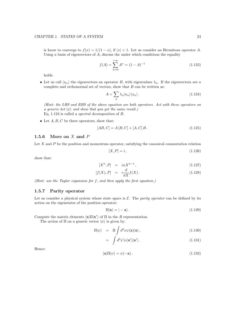is know to converge to  $f(x) = 1/(1-x)$ , if  $|x| < 1$ . Let us consider an Hermitean operator A. Using a basis of eigenvectors of A, discuss the under which conditions the equality

$$
f(A) = \sum_{n=0}^{+\infty} A^n = (1 - A)^{-1}
$$
 (1.123)

holds.

• Let us call  $|u_n\rangle$  the eigenvectors an operator B, with eigenvalues  $\lambda_n$ . If the eigenvectors are a complete and orthonormal set of vectors, show that  $B$  can be written as:

$$
A = \sum_{n} \lambda_n |u_n\rangle\langle u_n| \,. \tag{1.124}
$$

(Hint: the LHS and RHS of the above equation are both operators. Act with these operators on a generic ket  $|\psi\rangle$  and show that you get the same result.) Eq. 1.124 is called a spectral decomposition of B.

• Let  $A, B, C$  be three operators, show that:

$$
[AB, C] = A [B, C] + [A, C] B.
$$
\n(1.125)

## 1.5.6 More on  $X$  and  $P$

Let  $X$  and  $P$  be the position and momentum operator, satisfying the canonical commutation relation

$$
[X,P] = i\,,\tag{1.126}
$$

show that:

$$
[X^n, P] = in X^{n-1}, \qquad (1.127)
$$

$$
[f(X), P] = i\frac{d}{dX}f(X).
$$
 (1.128)

(Hint: use the Taylor expansion for f, and then apply the first equation.)

## 1.5.7 Parity operator

Let us consider a physical system whose state space is  $\mathcal E$ . The parity operator can be defined by its action on the eigenstates of the position operator:

$$
\Pi|\mathbf{x}\rangle = |-\mathbf{x}\rangle. \tag{1.129}
$$

Compute the matrix elements  $\langle \mathbf{x} | \Pi | \mathbf{x}' \rangle$  of  $\Pi$  in the R representation.

The action of  $\Pi$  on a generic vector  $|\psi\rangle$  is given by:

$$
\Pi|\psi\rangle = \Pi \int d^3x \psi(\mathbf{x})|\mathbf{x}\rangle, \qquad (1.130)
$$

$$
= \int d^3x' \psi(\mathbf{x'})|\mathbf{x'}\rangle.
$$
 (1.131)

Hence:

$$
\langle \mathbf{x} | \Pi | \psi \rangle = \psi(-\mathbf{x}). \tag{1.132}
$$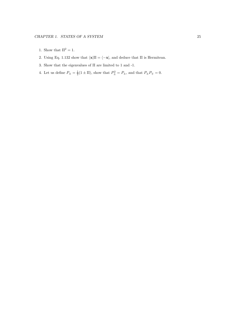- 1. Show that  $\Pi^2 = 1$ .
- 2. Using Eq. 1.132 show that  $\langle \mathbf{x}|\Pi = \langle -\mathbf{x}|\rangle$ , and deduce that  $\Pi$  is Hermitean.
- 3. Show that the eigenvalues of  $\Pi$  are limited to 1 and -1.
- 4. Let us define  $P_{\pm} = \frac{1}{2}(1 \pm \Pi)$ , show that  $P_{\pm}^2 = P_{\pm}$ , and that  $P_{\pm}P_{\mp} = 0$ .